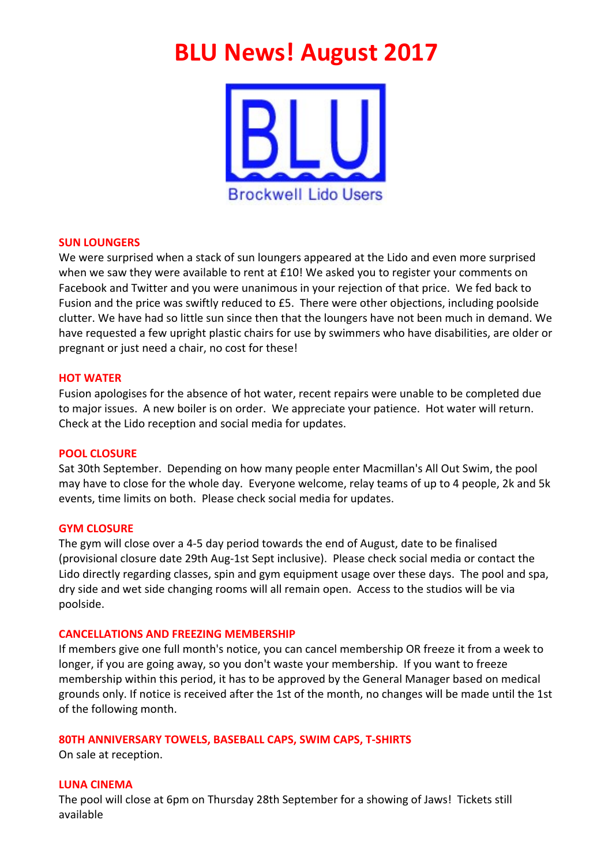# **BLU News! August 2017**



### **SUN LOUNGERS**

We were surprised when a stack of sun loungers appeared at the Lido and even more surprised when we saw they were available to rent at £10! We asked you to register your comments on Facebook and Twitter and you were unanimous in your rejection of that price. We fed back to Fusion and the price was swiftly reduced to £5. There were other objections, including poolside clutter. We have had so little sun since then that the loungers have not been much in demand. We have requested a few upright plastic chairs for use by swimmers who have disabilities, are older or pregnant or just need a chair, no cost for these!

### **HOT WATER**

Fusion apologises for the absence of hot water, recent repairs were unable to be completed due to major issues. A new boiler is on order. We appreciate your patience. Hot water will return. Check at the Lido reception and social media for updates.

# **POOL CLOSURE**

Sat 30th September. Depending on how many people enter Macmillan's All Out Swim, the pool may have to close for the whole day. Everyone welcome, relay teams of up to 4 people, 2k and 5k events, time limits on both. Please check social media for updates.

#### **GYM CLOSURE**

The gym will close over a 4-5 day period towards the end of August, date to be finalised (provisional closure date 29th Aug-1st Sept inclusive). Please check social media or contact the Lido directly regarding classes, spin and gym equipment usage over these days. The pool and spa, dry side and wet side changing rooms will all remain open. Access to the studios will be via poolside.

# **CANCELLATIONS AND FREEZING MEMBERSHIP**

If members give one full month's notice, you can cancel membership OR freeze it from a week to longer, if you are going away, so you don't waste your membership. If you want to freeze membership within this period, it has to be approved by the General Manager based on medical grounds only. If notice is received after the 1st of the month, no changes will be made until the 1st of the following month.

# **80TH ANNIVERSARY TOWELS, BASEBALL CAPS, SWIM CAPS, T-SHIRTS**

On sale at reception.

# **LUNA CINEMA**

The pool will close at 6pm on Thursday 28th September for a showing of Jaws! Tickets still available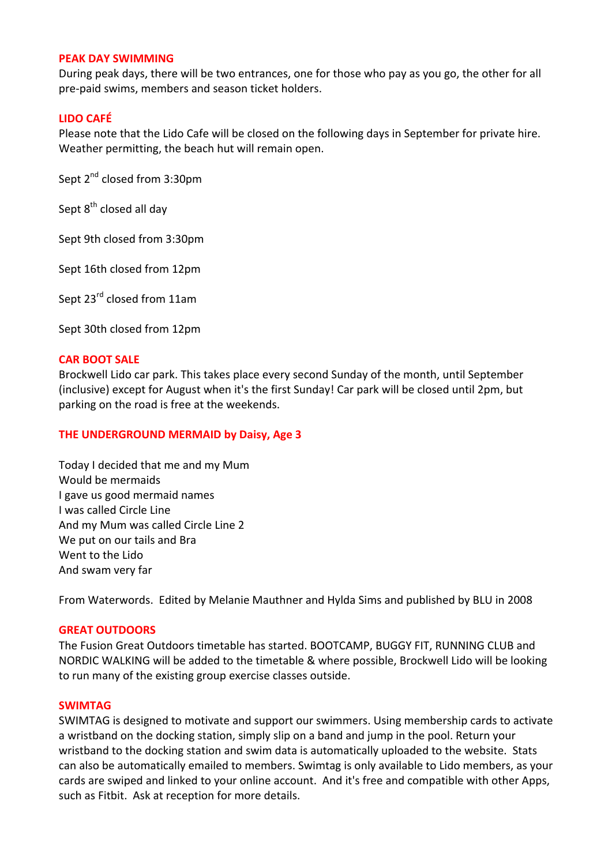#### **PEAK DAY SWIMMING**

During peak days, there will be two entrances, one for those who pay as you go, the other for all pre-paid swims, members and season ticket holders.

# **LIDO CAFÉ**

Please note that the Lido Cafe will be closed on the following days in September for private hire. Weather permitting, the beach hut will remain open.

Sept 2<sup>nd</sup> closed from 3:30pm

Sept  $8^{th}$  closed all day

Sept 9th closed from 3:30pm

Sept 16th closed from 12pm

Sept 23<sup>rd</sup> closed from 11am

Sept 30th closed from 12pm

### **CAR BOOT SALE**

Brockwell Lido car park. This takes place every second Sunday of the month, until September (inclusive) except for August when it's the first Sunday! Car park will be closed until 2pm, but parking on the road is free at the weekends.

# **THE UNDERGROUND MERMAID by Daisy, Age 3**

Today I decided that me and my Mum Would be mermaids I gave us good mermaid names I was called Circle Line And my Mum was called Circle Line 2 We put on our tails and Bra Went to the Lido And swam very far

From Waterwords. Edited by Melanie Mauthner and Hylda Sims and published by BLU in 2008

# **GREAT OUTDOORS**

The Fusion Great Outdoors timetable has started. BOOTCAMP, BUGGY FIT, RUNNING CLUB and NORDIC WALKING will be added to the timetable & where possible, Brockwell Lido will be looking to run many of the existing group exercise classes outside.

#### **SWIMTAG**

SWIMTAG is designed to motivate and support our swimmers. Using membership cards to activate a wristband on the docking station, simply slip on a band and jump in the pool. Return your wristband to the docking station and swim data is automatically uploaded to the website. Stats can also be automatically emailed to members. Swimtag is only available to Lido members, as your cards are swiped and linked to your online account. And it's free and compatible with other Apps, such as Fitbit. Ask at reception for more details.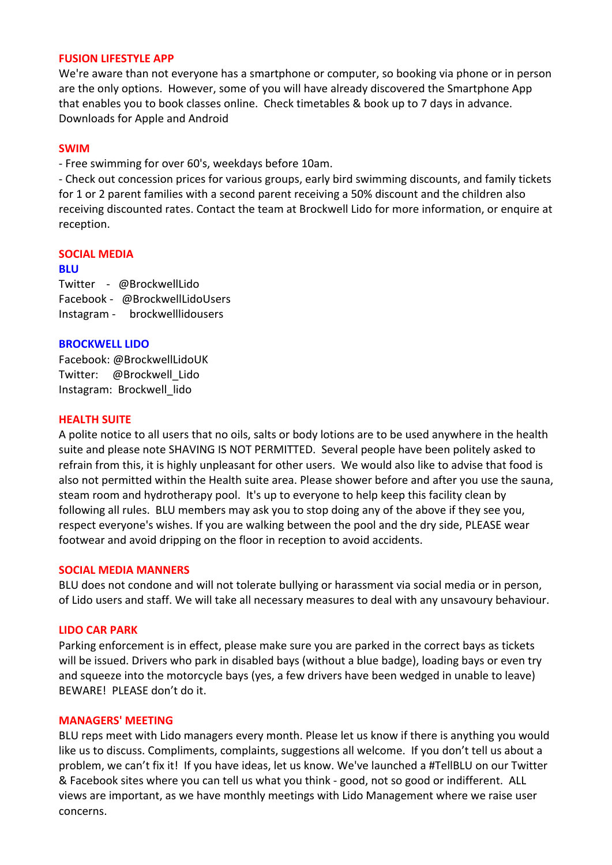## **FUSION LIFESTYLE APP**

We're aware than not everyone has a smartphone or computer, so booking via phone or in person are the only options. However, some of you will have already discovered the Smartphone App that enables you to book classes online. Check timetables & book up to 7 days in advance. Downloads for Apple and Android

#### **SWIM**

- Free swimming for over 60's, weekdays before 10am.

- Check out concession prices for various groups, early bird swimming discounts, and family tickets for 1 or 2 parent families with a second parent receiving a 50% discount and the children also receiving discounted rates. Contact the team at Brockwell Lido for more information, or enquire at reception.

## **SOCIAL MEDIA**

#### **BLU**

Twitter - @BrockwellLido Facebook - @BrockwellLidoUsers Instagram - brockwelllidousers

#### **BROCKWELL LIDO**

Facebook: @BrockwellLidoUK Twitter: @Brockwell Lido Instagram: Brockwell lido

### **HEALTH SUITE**

A polite notice to all users that no oils, salts or body lotions are to be used anywhere in the health suite and please note SHAVING IS NOT PERMITTED. Several people have been politely asked to refrain from this, it is highly unpleasant for other users. We would also like to advise that food is also not permitted within the Health suite area. Please shower before and after you use the sauna, steam room and hydrotherapy pool. It's up to everyone to help keep this facility clean by following all rules. BLU members may ask you to stop doing any of the above if they see you, respect everyone's wishes. If you are walking between the pool and the dry side, PLEASE wear footwear and avoid dripping on the floor in reception to avoid accidents.

#### **SOCIAL MEDIA MANNERS**

BLU does not condone and will not tolerate bullying or harassment via social media or in person, of Lido users and staff. We will take all necessary measures to deal with any unsavoury behaviour.

#### **LIDO CAR PARK**

Parking enforcement is in effect, please make sure you are parked in the correct bays as tickets will be issued. Drivers who park in disabled bays (without a blue badge), loading bays or even try and squeeze into the motorcycle bays (yes, a few drivers have been wedged in unable to leave) BEWARE! PLEASE don't do it.

#### **MANAGERS' MEETING**

BLU reps meet with Lido managers every month. Please let us know if there is anything you would like us to discuss. Compliments, complaints, suggestions all welcome. If you don't tell us about a problem, we can't fix it! If you have ideas, let us know. We've launched a #TellBLU on our Twitter & Facebook sites where you can tell us what you think - good, not so good or indifferent. ALL views are important, as we have monthly meetings with Lido Management where we raise user concerns.